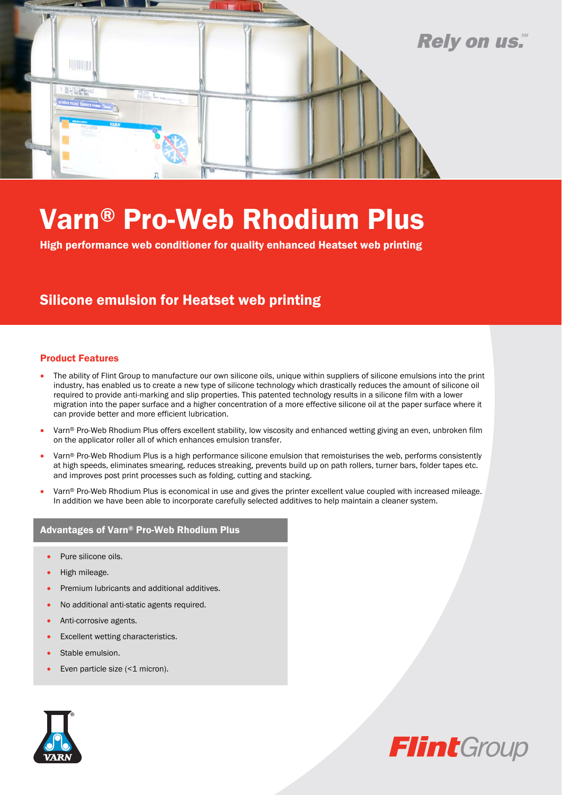

# Varn® Pro-Web Rhodium Plus

High performance web conditioner for quality enhanced Heatset web printing

### Silicone emulsion for Heatset web printing

#### Product Features

- The ability of Flint Group to manufacture our own silicone oils, unique within suppliers of silicone emulsions into the print industry, has enabled us to create a new type of silicone technology which drastically reduces the amount of silicone oil required to provide anti-marking and slip properties. This patented technology results in a silicone film with a lower migration into the paper surface and a higher concentration of a more effective silicone oil at the paper surface where it can provide better and more efficient lubrication.
- Varn® Pro-Web Rhodium Plus offers excellent stability, low viscosity and enhanced wetting giving an even, unbroken film on the applicator roller all of which enhances emulsion transfer.
- Varn® Pro-Web Rhodium Plus is a high performance silicone emulsion that remoisturises the web, performs consistently at high speeds, eliminates smearing, reduces streaking, prevents build up on path rollers, turner bars, folder tapes etc. and improves post print processes such as folding, cutting and stacking.
- Varn® Pro-Web Rhodium Plus is economical in use and gives the printer excellent value coupled with increased mileage. In addition we have been able to incorporate carefully selected additives to help maintain a cleaner system.

#### Advantages of Varn® Pro-Web Rhodium Plus

- Pure silicone oils.
- High mileage.
- Premium lubricants and additional additives.
- No additional anti-static agents required.
- Anti-corrosive agents.
- Excellent wetting characteristics.
- Stable emulsion.
- Even particle size (<1 micron).